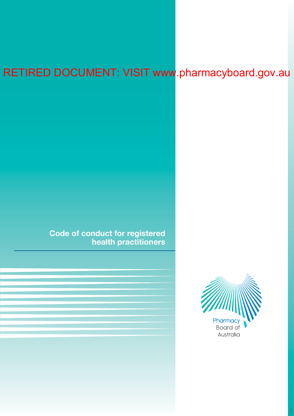# RETIRED DOCUMENT: VISIT www.pharmacyboard.gov.au

**Code of conduct for registered health practitioners**

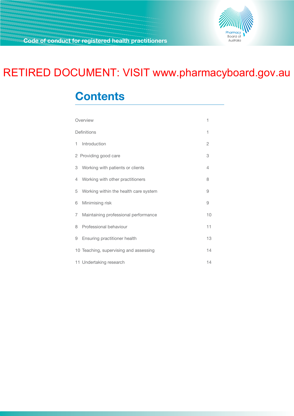

# RETIRED DOCUMENT: VISIT www.pharmacyboard.gov.au

# **Contents**

| Overview    |                                        | 1              |
|-------------|----------------------------------------|----------------|
| Definitions |                                        | 1              |
| 1.          | Introduction                           | $\overline{c}$ |
|             | 2 Providing good care                  | 3              |
|             | 3 Working with patients or clients     | 4              |
|             | 4 Working with other practitioners     | 8              |
| 5           | Working within the health care system  | 9              |
| 6           | Minimising risk                        | 9              |
| $7^{\circ}$ | Maintaining professional performance   | 10             |
| 8           | Professional behaviour                 | 11             |
| 9           | Ensuring practitioner health           | 13             |
|             | 10 Teaching, supervising and assessing | 14             |
|             | 11 Undertaking research                | 14             |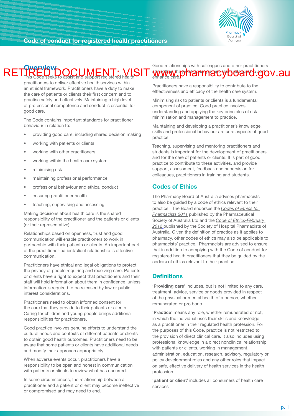

#### <span id="page-2-0"></span>**Overview** This Code seeks to assist and support registered health Good relationships with colleagues and other practitioners RETIRED DOCUMENT: VISIT www.pharmacyboard.gov.au enhance care.

practitioners to deliver effective health services within an ethical framework. Practitioners have a duty to make the care of patients or clients their first concern and to practise safely and effectively. Maintaining a high level of professional competence and conduct is essential for good care.

The Code contains important standards for practitioner behaviour in relation to:

- providing good care, including shared decision making
- working with patients or clients
- working with other practitioners
- working within the health care system
- minimising risk
- maintaining professional performance
- professional behaviour and ethical conduct
- ensuring practitioner health
- teaching, supervising and assessing.

Making decisions about health care is the shared responsibility of the practitioner and the patients or clients (or their representative).

Relationships based on openness, trust and good communication will enable practitioners to work in partnership with their patients or clients. An important part of the practitioner-patient/client relationship is effective communication.

Practitioners have ethical and legal obligations to protect the privacy of people requiring and receiving care. Patients or clients have a right to expect that practitioners and their staff will hold information about them in confidence, unless information is required to be released by law or public interest considerations.

Practitioners need to obtain informed consent for the care that they provide to their patients or clients. Caring for children and young people brings additional responsibilities for practitioners.

Good practice involves genuine efforts to understand the cultural needs and contexts of different patients or clients to obtain good health outcomes. Practitioners need to be aware that some patients or clients have additional needs and modify their approach appropriately.

When adverse events occur, practitioners have a responsibility to be open and honest in communication with patients or clients to review what has occurred.

In some circumstances, the relationship between a practitioner and a patient or client may become ineffective or compromised and may need to end.

Practitioners have a responsibility to contribute to the efffectiveness and efficacy of the health care system.

Minimising risk to patients or clients is a fundamental component of practice. Good practice involves understanding and applying the key principles of risk minimisation and management to practice.

Maintaining and developing a practitioner's knowledge, skills and professional behaviour are core aspects of good practice.

Teaching, supervising and mentoring practitioners and students is important for the development of practitioners and for the care of patients or clients. It is part of good practice to contribute to these activities, and provide support, assessment, feedback and supervision for colleagues, practitioners in training and students.

#### **Codes of Ethics**

The Pharmacy Board of Australia advises pharmacists to also be guided by a code of ethics relevant to their practice. The Board endorses the *[Codes of Ethics for](http://www.psa.org.au/membership/ethics)  [Pharmacists 2011](http://www.psa.org.au/membership/ethics)* published by the Pharmaceutical Society of Australia Ltd and the *[Code of Ethics-February](http://www.shpa.org.au/scripts/cgiip.exe/WService=SHPA/ccms.r?PageId=3)  2012* published by the Society of Hospital Pharmacists of Australia. Given the definition of practice as it applies to pharmacy, other codes of ethics may also be applicable to pharmacists' practice. Pharmacists are advised to ensure that in addition to complying with the Code of conduct for registered health practitioners that they be guided by the code(s) of ethics relevant to their practice.

#### **Definitions**

**'Providing care'** includes, but is not limited to any care, treatment, advice, service or goods provided in respect of the physical or mental health of a person, whether remunerated or pro bono.

**'Practice'** means any role, whether remunerated or not, in which the individual uses their skills and knowledge as a practitioner in their regulated health profession. For the purposes of this Code, practice is not restricted to the provision of direct clinical care. It also includes using professional knowledge in a direct nonclinical relationship with patients or clients, working in management, administration, education, research, advisory, regulatory or policy development roles and any other roles that impact on safe, effective delivery of health services in the health profession.

**'patient or client'** includes all consumers of health care services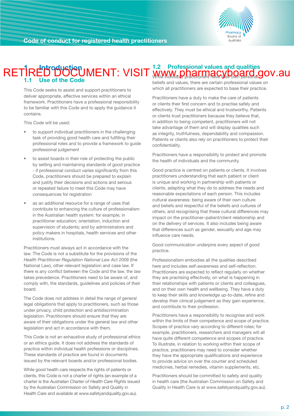

### <span id="page-3-0"></span>**1 Introduction 1.2 Professional values and qualities 1.1 Use of the Code** RETIRED DOCUMENT: VISIT www.pharmacyboard.gov.au

This Code seeks to assist and support practitioners to deliver appropriate, effective services within an ethical framework. Practitioners have a professional responsibility to be familiar with this Code and to apply the guidance it contains.

This Code will be used:

- to support individual practitioners in the challenging task of providing good health care and fulfilling their professional roles and to provide a framework to guide professional judgement
- to assist boards in their role of protecting the public by setting and maintaining standards of good practice - if professional conduct varies significantly from this Code, practitioners should be prepared to explain and justify their decisions and actions and serious or repeated failure to meet this Code may have consequences for registration
- as an additional resource for a range of uses that contribute to enhancing the culture of professionalism in the Australian health system: for example, in practitioner education; orientation, induction and supervision of students; and by administrators and policy makers in hospitals, health services and other institutions.

Practitioners must always act in accordance with the law. The Code is not a substitute for the provisions of the *Health Practitioner Regulation National Law Act 2009* (the National Law), other relevant legislation and case law. If there is any conflict between the Code and the law, the law takes precedence. Practitioners need to be aware of, and comply with, the standards, guidelines and policies of their board.

The Code does not address in detail the range of general legal obligations that apply to practitioners, such as those under privacy, child protection and antidiscrimination legislation. Practitioners should ensure that they are aware of their obligations under the general law and other legislation and act in accordance with them.

This Code is not an exhaustive study of professional ethics or an ethics guide. It does not address the standards of practice within individual health professions or disciplines. These standards of practice are found in documents issued by the relevant boards and/or professional bodies.

While good health care respects the rights of patients or clients, this Code is not a charter of rights (an example of a charter is the *Australian Charter of Health Care Rights* issued by the Australian Commission on Safety and Quality in Health Care and available at www.safetyandquality.gov.au).

beliefs and values, there are certain professional values on which all practitioners are expected to base their practice.

Practitioners have a duty to make the care of patients or clients their first concern and to practise safely and effectively. They must be ethical and trustworthy. Patients or clients trust practitioners because they believe that, in addition to being competent, practitioners will not take advantage of them and will display qualities such as integrity, truthfulness, dependability and compassion. Patients or clients also rely on practitioners to protect their confidentiality.

Practitioners have a responsibility to protect and promote the health of individuals and the community.

Good practice is centred on patients or clients. It involves practitioners understanding that each patient or client is unique and working in partnership with patients or clients, adapting what they do to address the needs and reasonable expectations of each person. This includes cultural awareness: being aware of their own culture and beliefs and respectful of the beliefs and cultures of others, and recognising that these cultural differences may impact on the practitioner–patient/client relationship and on the delivery of services. It also includes being aware that differences such as gender, sexuality and age may influence care needs.

Good communication underpins every aspect of good practice.

Professionalism embodies all the qualities described here and includes self-awareness and self-reflection. Practitioners are expected to reflect regularly on whether they are practising effectively, on what is happening in their relationships with patients or clients and colleagues, and on their own health and wellbeing. They have a duty to keep their skills and knowledge up-to-date, refine and develop their clinical judgement as they gain experience, and contribute to their profession.

Practitioners have a responsibility to recognise and work within the limits of their competence and scope of practice. Scopes of practice vary according to different roles; for example, practitioners, researchers and managers will all have quite different competence and scopes of practice. To illustrate, in relation to working within their scope of practice, practitioners may need to consider whether they have the appropriate qualifications and experience to provide advice on over the counter and scheduled medicines, herbal remedies, vitamin supplements, etc.

Practitioners should be committed to safety and quality in health care (the Australian Commission on Safety and Quality in Health Care is at www.safetyandquality.gov.au).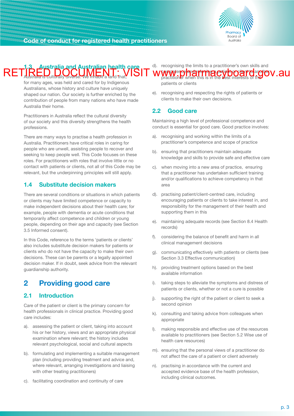<span id="page-4-0"></span>



#### **1.3 Australia and Australian health care**  Australia is culturally diverse. We inhabit a land that, d). recognising the limits to a practitioner's own skills and competence and referring a patient or client to another practitioner when this is in the best interests of the RETIRED DOCUMENT: VISIT www.pharmacyboarderglanglevy.au

for many ages, was held and cared for by Indigenous Australians, whose history and culture have uniquely shaped our nation. Our society is further enriched by the contribution of people from many nations who have made Australia their home.

Practitioners in Australia reflect the cultural diversity of our society and this diversity strengthens the health professions.

There are many ways to practise a health profession in Australia. Practitioners have critical roles in caring for people who are unwell, assisting people to recover and seeking to keep people well. This Code focuses on these roles. For practitioners with roles that involve little or no contact with patients or clients, not all of this Code may be relevant, but the underpinning principles will still apply.

#### **1.4 Substitute decision makers**

There are several conditions or situations in which patients or clients may have limited competence or capacity to make independent decisions about their health care; for example, people with dementia or acute conditions that temporarily affect competence and children or young people, depending on their age and capacity (see Section 3.5 Informed consent).

In this Code, reference to the terms 'patients or clients' also includes substitute decision makers for patients or clients who do not have the capacity to make their own decisions. These can be parents or a legally appointed decision maker. If in doubt, seek advice from the relevant guardianship authority.

# **2 Providing good care**

#### **2.1 Introduction**

Care of the patient or client is the primary concern for health professionals in clinical practice. Providing good care includes:

- a). assessing the patient or client, taking into account his or her history, views and an appropriate physical examination where relevant; the history includes relevant psychological, social and cultural aspects
- b). formulating and implementing a suitable management plan (including providing treatment and advice and, where relevant, arranging investigations and liaising with other treating practitioners)
- c). facilitating coordination and continuity of care

patients or clients

e). recognising and respecting the rights of patients or clients to make their own decisions.

#### **2.2 Good care**

Maintaining a high level of professional competence and conduct is essential for good care. Good practice involves:

- a). recognising and working within the limits of a practitioner's competence and scope of practice
- b). ensuring that practitioners maintain adequate knowledge and skills to provide safe and effective care
- c). when moving into a new area of practice, ensuring that a practitioner has undertaken sufficient training and/or qualifications to achieve competency in that area
- d). practising patient/client-centred care, including encouraging patients or clients to take interest in, and responsibility for the management of their health and supporting them in this
- e). maintaining adequate records (see Section 8.4 Health records)
- f). considering the balance of benefit and harm in all clinical management decisions
- g). communicating effectively with patients or clients (see Section 3.3 Effective communication)
- h). providing treatment options based on the best available information
- i). taking steps to alleviate the symptoms and distress of patients or clients, whether or not a cure is possible
- j). supporting the right of the patient or client to seek a second opinion
- k). consulting and taking advice from colleagues when appropriate
- l). making responsible and effective use of the resources available to practitioners (see Section 5.2 Wise use of health care resources)
- m). ensuring that the personal views of a practitioner do not affect the care of a patient or client adversely
- n). practising in accordance with the current and accepted evidence base of the health profession, including clinical outcomes.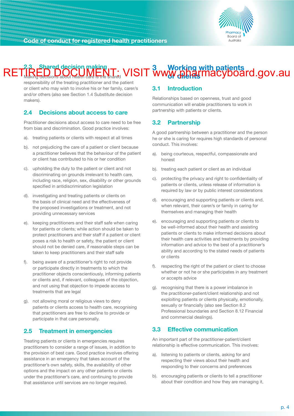

#### <span id="page-5-0"></span>**2.3 Shared decision making** Making decisions about health care is the shared **3 Working with patients**  RETIRED DOCUMENT: VISIT www.pharmacyboard.gov.au

responsibility of the treating practitioner and the patient or client who may wish to involve his or her family, carer/s and/or others (also see Section 1.4 Substitute decision makers).

#### **2.4 Decisions about access to care**

Practitioner decisions about access to care need to be free from bias and discrimination. Good practice involves:

- a). treating patients or clients with respect at all times
- b). not prejudicing the care of a patient or client because a practitioner believes that the behaviour of the patient or client has contributed to his or her condition
- c). upholding the duty to the patient or client and not discriminating on grounds irrelevant to health care, including race, religion, sex, disability or other grounds specified in antidiscrimination legislation
- d). investigating and treating patients or clients on the basis of clinical need and the effectiveness of the proposed investigations or treatment, and not providing unnecessary services
- e). keeping practitioners and their staff safe when caring for patients or clients; while action should be taken to protect practitioners and their staff if a patient or client poses a risk to health or safety, the patient or client should not be denied care, if reasonable steps can be taken to keep practitioners and their staff safe
- f). being aware of a practitioner's right to not provide or participate directly in treatments to which the practitioner objects conscientiously, informing patients or clients and, if relevant, colleagues of the objection, and not using that objection to impede access to treatments that are legal
- g). not allowing moral or religious views to deny patients or clients access to health care, recognising that practitioners are free to decline to provide or participate in that care personally.

#### **2.5 Treatment in emergencies**

Treating patients or clients in emergencies requires practitioners to consider a range of issues, in addition to the provision of best care. Good practice involves offering assistance in an emergency that takes account of the practitioner's own safety, skills, the availability of other options and the impact on any other patients or clients under the practitioner's care, and continuing to provide that assistance until services are no longer required.

#### **3.1 Introduction**

Relationships based on openness, trust and good communication will enable practitioners to work in partnership with patients or clients.

#### **3.2 Partnership**

A good partnership between a practitioner and the person he or she is caring for requires high standards of personal conduct. This involves:

- a). being courteous, respectful, compassionate and honest
- b). treating each patient or client as an individual
- c). protecting the privacy and right to confidentiality of patients or clients, unless release of information is required by law or by public interest considerations
- d). encouraging and supporting patients or clients and, when relevant, their carer/s or family in caring for themselves and managing their health
- e). encouraging and supporting patients or clients to be well-informed about their health and assisting patients or clients to make informed decisions about their health care activities and treatments by providing information and advice to the best of a practitioner's ability and according to the stated needs of patients or clients
- f). respecting the right of the patient or client to choose whether or not he or she participates in any treatment or accepts advice
- g). recognising that there is a power imbalance in the practitioner-patient/client relationship and not exploiting patients or clients physically, emotionally, sexually or financially (also see Section 8.2 Professional boundaries and Section 8.12 Financial and commercial dealings).

#### **3.3 Effective communication**

An important part of the practitioner-patient/client relationship is effective communication. This involves:

- a). listening to patients or clients, asking for and respecting their views about their health and responding to their concerns and preferences
- b). encouraging patients or clients to tell a practitioner about their condition and how they are managing it,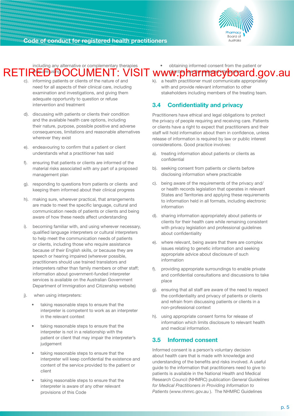**Board** of **Australia** 

**Code of conduct for registered health practitioners**

including any alternative or complementary therapies RETIRE®®®OCUMENT: VISIT obtaining informed consent from the patient or RETIRED **DOCUMENT: VISIT www.pharmacyboard.gov.au** 

- c). informing patients or clients of the nature of and need for all aspects of their clinical care, including examination and investigations, and giving them adequate opportunity to question or refuse intervention and treatment
- d). discussing with patients or clients their condition and the available health care options, including their nature, purpose, possible positive and adverse consequences, limitations and reasonable alternatives wherever they exist
- e). endeavouring to confirm that a patient or client understands what a practitioner has said
- f). ensuring that patients or clients are informed of the material risks associated with any part of a proposed management plan
- g). responding to questions from patients or clients and keeping them informed about their clinical progress
- h). making sure, wherever practical, that arrangements are made to meet the specific language, cultural and communication needs of patients or clients and being aware of how these needs affect understanding
- i). becoming familiar with, and using wherever necessary, qualified language interpreters or cultural interpreters to help meet the communication needs of patients or clients, including those who require assistance because of their English skills, or because they are speech or hearing impaired (wherever possible, practitioners should use trained translators and interpreters rather than family members or other staff; information about government-funded interpreter services is available on the Australian Government Department of Immigration and Citizenship website)
- j). when using interpreters:
	- taking reasonable steps to ensure that the interpreter is competent to work as an interpreter in the relevant context
	- taking reasonable steps to ensure that the interpreter is not in a relationship with the patient or client that may impair the interpreter's iudgement
	- taking reasonable steps to ensure that the interpreter will keep confidential the existence and content of the service provided to the patient or client
	- taking reasonable steps to ensure that the interpreter is aware of any other relevant provisions of this Code

k). a health practitioner must communicate appropriately with and provide relevant information to other stakeholders including members of the treating team.

#### **3.4 Confidentiality and privacy**

Practitioners have ethical and legal obligations to protect the privacy of people requiring and receiving care. Patients or clients have a right to expect that practitioners and their staff will hold information about them in confidence, unless release of information is required by law or public interest considerations. Good practice involves:

- a). treating information about patients or clients as confidential
- b). seeking consent from patients or clients before disclosing information where practicable
- c). being aware of the requirements of the privacy and/ or health records legislation that operates in relevant States and Territories and applying these requirements to information held in all formats, including electronic information
- d). sharing information appropriately about patients or clients for their health care while remaining consistent with privacy legislation and professional guidelines about confidentiality
- e). where relevant, being aware that there are complex issues relating to genetic information and seeking appropriate advice about disclosure of such information
- providing appropriate surroundings to enable private and confidential consultations and discussions to take place
- g). ensuring that all staff are aware of the need to respect the confidentiality and privacy of patients or clients and refrain from discussing patients or clients in a non-professional context
- h). using appropriate consent forms for release of information which limits disclosure to relevant health and medical information.

#### **3.5 Informed consent**

Informed consent is a person's voluntary decision about health care that is made with knowledge and understanding of the benefits and risks involved. A useful guide to the information that practitioners need to give to patients is available in the National Health and Medical Research Council (NHMRC) publication *General Guidelines for Medical Practitioners in Providing Information to Patients* (www.nhmrc.gov.au ). The NHMRC Guidelines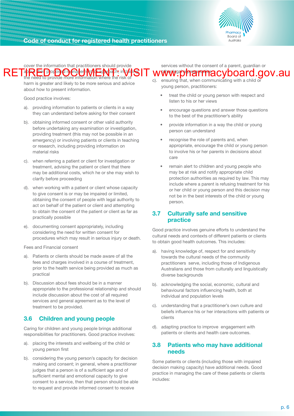

cover the information that practitioners should provide Tab**ov heir portosed management or approach, includ** the need to provide more information where the risk of RET<sup>ab</sup>REiDorBenGelthWErNter: inVisiT www.pharmmacyboard.gov.au

harm is greater and likely to be more serious and advice about how to present information.

Good practice involves:

- a). providing information to patients or clients in a way they can understand before asking for their consent
- b). obtaining informed consent or other valid authority before undertaking any examination or investigation, providing treatment (this may not be possible in an emergency) or involving patients or clients in teaching or research, including providing information on material risks
- c). when referring a patient or client for investigation or treatment, advising the patient or client that there may be additional costs, which he or she may wish to clarify before proceeding
- d). when working with a patient or client whose capacity to give consent is or may be impaired or limited, obtaining the consent of people with legal authority to act on behalf of the patient or client and attempting to obtain the consent of the patient or client as far as practically possible
- e). documenting consent appropriately, including considering the need for written consent for procedures which may result in serious injury or death.

Fees and Financial consent

- a). Patients or clients should be made aware of all the fees and charges involved in a course of treatment, prior to the health service being provided as much as practical
- b). Discussion about fees should be in a manner appropriate to the professional relationship and should include discussion about the cost of all required services and general agreement as to the level of treatment to be provided.

#### **3.6 Children and young people**

Caring for children and young people brings additional responsibilities for practitioners. Good practice involves:

- a). placing the interests and wellbeing of the child or young person first
- b). considering the young person's capacity for decision making and consent; in general, where a practitioner judges that a person is of a sufficient age and of sufficient mental and emotional capacity to give consent to a service, then that person should be able to request and provide informed consent to receive
- c). ensuring that, when communicating with a child or young person, practitioners:
	- treat the child or young person with respect and listen to his or her views

services without the consent of a parent, guardian or

- encourage questions and answer those questions to the best of the practitioner's ability
- provide information in a way the child or young person can understand
- recognise the role of parents and, when appropriate, encourage the child or young person to involve his or her parents in decisions about care
- remain alert to children and young people who may be at risk and notify appropriate child protection authorities as required by law. This may include where a parent is refusing treatment for his or her child or young person and this decision may not be in the best interests of the child or young person.

#### **3.7 Culturally safe and sensitive practice**

Good practice involves genuine efforts to understand the cultural needs and contexts of different patients or clients to obtain good health outcomes. This includes:

- a). having knowledge of, respect for and sensitivity towards the cultural needs of the community practitioners serve, including those of Indigenous Australians and those from culturally and linguistically diverse backgrounds
- b). acknowledging the social, economic, cultural and behavioural factors influencing health, both at individual and population levels
- c). understanding that a practitioner's own culture and beliefs influence his or her interactions with patients or clients
- d). adapting practice to improve engagement with patients or clients and health care outcomes.

#### **3.8 Patients who may have additional needs**

Some patients or clients (including those with impaired decision making capacity) have additional needs. Good practice in managing the care of these patients or clients includes: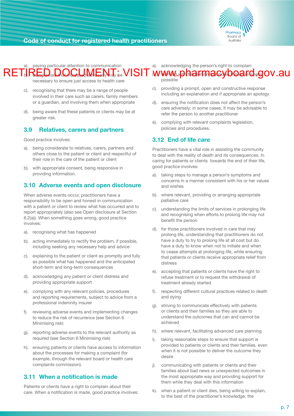

## paying particular attention to communication  $\mathsf{RE}$  in  $\mathsf{R}$  below that increase that increase  $\mathsf{R}$

necessary to ensure just access to health care

- c). recognising that there may be a range of people involved in their care such as carers, family members or a guardian, and involving them when appropriate
- d). being aware that these patients or clients may be at greater risk.

#### **3.9 Relatives, carers and partners**

Good practice involves:

- a). being considerate to relatives, carers, partners and others close to the patient or client and respectful of their role in the care of the patient or client
- b). with appropriate consent, being responsive in providing information.

#### **3.10 Adverse events and open disclosure**

When adverse events occur, practitioners have a responsibility to be open and honest in communication with a patient or client to review what has occurred and to report appropriately (also see Open disclosure at Section 6.2(a)). When something goes wrong, good practice involves:

- a). recognising what has happened
- b). acting immediately to rectify the problem, if possible. including seeking any necessary help and advice
- c). explaining to the patient or client as promptly and fully as possible what has happened and the anticipated short-term and long-term consequences
- d). acknowledging any patient or client distress and providing appropriate support
- e). complying with any relevant policies, procedures and reporting requirements, subject to advice from a professional indemnity insurer
- f). reviewing adverse events and implementing changes to reduce the risk of recurrence (see Section 6 Minimising risk)
- g). reporting adverse events to the relevant authority as required (see Section 6 Minimising risk)
- h). ensuring patients or clients have access to information about the processes for making a complaint (for example, through the relevant board or health care complaints commission).

#### **3.11 When a notification is made**

Patients or clients have a right to complain about their care. When a notification is made, good practice involves: a). acknowledging the person's right to complain

# $\mathsf{RETJ}\mathsf{R}$ EDarDOCUMENT: VISIT www.pharmacyboard.gov.au

possible

- c). providing a prompt, open and constructive response including an explanation and if appropriate an apology
- d). ensuring the notification does not affect the person's care adversely; in some cases, it may be advisable to refer the person to another practitioner
- e). complying with relevant complaints legislation, policies and procedures.

#### **3.12 End of life care**

Practitioners have a vital role in assisting the community to deal with the reality of death and its consequences. In caring for patients or clients towards the end of their life, good practice involves:

- a). taking steps to manage a person's symptoms and concerns in a manner consistent with his or her values and wishes
- b). where relevant, providing or arranging appropriate palliative care
- c). understanding the limits of services in prolonging life and recognising when efforts to prolong life may not benefit the person
- d). for those practitioners involved in care that may prolong life, understanding that practitioners do not have a duty to try to prolong life at all cost but do have a duty to know when not to initiate and when to cease attempts at prolonging life, while ensuring that patients or clients receive appropriate relief from distress
- e). accepting that patients or clients have the right to refuse treatment or to request the withdrawal of treatment already started
- f). respecting different cultural practices related to death and dying
- g). striving to communicate effectively with patients or clients and their families so they are able to understand the outcomes that can and cannot be achieved
- h). where relevant, facilitating advanced care planning
- taking reasonable steps to ensure that support is provided to patients or clients and their families, even when it is not possible to deliver the outcome they desire
- j). communicating with patients or clients and their families about bad news or unexpected outcomes in the most appropriate way and providing support for them while they deal with this information
- k). when a patient or client dies, being willing to explain, to the best of the practitioner's knowledge, the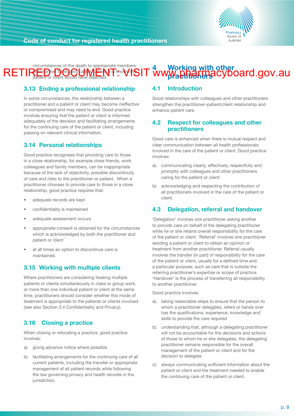

#### <span id="page-9-0"></span>circumstances of the death to appropriate members of his or her family and care is **here it is known the** patient or client would have objected. **4 Working with other**  RETIR<sup>ED P</sup>RED PRO CONTENT MOVISIT WWW.pharmacyboard.gov.au

#### **3.13 Ending a professional relationship**

In some circumstances, the relationship between a practitioner and a patient or client may become ineffective or compromised and may need to end. Good practice involves ensuring that the patient or client is informed adequately of the decision and facilitating arrangements for the continuing care of the patient or client, including passing on relevant clinical information.

#### **3.14 Personal relationships**

Good practice recognises that providing care to those in a close relationship, for example close friends, work colleagues and family members, can be inappropriate because of the lack of objectivity, possible discontinuity of care and risks to the practitioner or patient. When a practitioner chooses to provide care to those in a close relationship, good practice requires that:

- adequate records are kept
- confidentiality is maintained
- adequate assessment occurs
- appropriate consent is obtained for the circumstances which is acknowledged by both the practitioner and patient or client
- at all times an option to discontinue care is maintained.

#### **3.15 Working with multiple clients**

Where practitioners are considering treating multiple patients or clients simultaneously in class or group work, or more than one individual patient or client at the same time, practitioners should consider whether this mode of treatment is appropriate to the patients or clients involved (see also Section 3.4 Confidentiality and Privacy).

#### **3.16 Closing a practice**

When closing or relocating a practice, good practice involves:

- a). giving advance notice where possible
- b). facilitating arrangements for the continuing care of all current patients, including the transfer or appropriate management of all patient records while following the law governing privacy and health records in the jurisdiction.

#### **4.1 Introduction**

Good relationships with colleagues and other practitioners strengthen the practitioner–patient/client relationship and enhance patient care.

#### **4.2 Respect for colleagues and other practitioners**

Good care is enhanced when there is mutual respect and clear communication between all health professionals involved in the care of the patient or client. Good practice involves:

- a). communicating clearly, effectively, respectfully and promptly with colleagues and other practitioners caring for the patient or client
- b). acknowledging and respecting the contribution of all practitioners involved in the care of the patient or client.

#### **4.3 Delegation, referral and handover**

'Delegation' involves one practitioner asking another to provide care on behalf of the delegating practitioner while he or she retains overall responsibility for the care of the patient or client. 'Referral' involves one practitioner sending a patient or client to obtain an opinion or treatment from another practitioner. Referral usually involves the transfer (in part) of responsibility for the care of the patient or client, usually for a defined time and a particular purpose, such as care that is outside the referring practitioner's expertise or scope of practice. 'Handover' is the process of transferring all responsibility to another practitioner.

Good practice involves:

- a). taking reasonable steps to ensure that the person to whom a practitioner delegates, refers or hands over has the qualifications, experience, knowledge and skills to provide the care required
- b). understanding that, although a delegating practitioner will not be accountable for the decisions and actions of those to whom he or she delegates, the delegating practitioner remains responsible for the overall management of the patient or client and for the decision to delegate
- c). always communicating sufficient information about the patient or client and the treatment needed to enable the continuing care of the patient or client.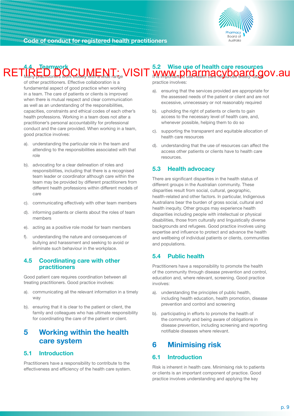

#### <span id="page-10-0"></span>**4.4 Teamwork** Many practitioners work closely with a wide range **5.2 Wise use of health care resources** RETIRED DOCUMENT: VISIT www.pharmacyboard.gov.au

of other practitioners. Effective collaboration is a fundamental aspect of good practice when working in a team. The care of patients or clients is improved when there is mutual respect and clear communication as well as an understanding of the responsibilities, capacities, constraints and ethical codes of each other's health professions. Working in a team does not alter a practitioner's personal accountability for professional conduct and the care provided. When working in a team, good practice involves:

- a). understanding the particular role in the team and attending to the responsibilities associated with that role
- b). advocating for a clear delineation of roles and responsibilities, including that there is a recognised team leader or coordinator although care within the team may be provided by different practitioners from different health professions within different models of care
- c). communicating effectively with other team members
- d). informing patients or clients about the roles of team members
- e). acting as a positive role model for team members
- f). understanding the nature and consequences of bullying and harassment and seeking to avoid or eliminate such behaviour in the workplace.

#### **4.5 Coordinating care with other practitioners**

Good patient care requires coordination between all treating practitioners. Good practice involves:

- a). communicating all the relevant information in a timely way
- b). ensuring that it is clear to the patient or client, the family and colleagues who has ultimate responsibility for coordinating the care of the patient or client.

## **5 Working within the health care system**

#### **5.1 Introduction**

Practitioners have a responsibility to contribute to the effectiveness and efficiency of the health care system. practice involves:

- a). ensuring that the services provided are appropriate for the assessed needs of the patient or client and are not excessive, unnecessary or not reasonably required
- b). upholding the right of patients or clients to gain access to the necessary level of health care, and, whenever possible, helping them to do so
- c). supporting the transparent and equitable allocation of health care resources
- d). understanding that the use of resources can affect the access other patients or clients have to health care resources.

#### **5.3 Health advocacy**

There are significant disparities in the health status of different groups in the Australian community. These disparities result from social, cultural, geographic, health-related and other factors. In particular, Indigenous Australians bear the burden of gross social, cultural and health inequity. Other groups may experience health disparities including people with intellectual or physical disabilities, those from culturally and linguistically diverse backgrounds and refugees. Good practice involves using expertise and influence to protect and advance the health and wellbeing of individual patients or clients, communities and populations.

#### **5.4 Public health**

Practitioners have a responsibility to promote the health of the community through disease prevention and control, education and, where relevant, screening. Good practice involves:

- a). understanding the principles of public health, including health education, health promotion, disease prevention and control and screening
- b). participating in efforts to promote the health of the community and being aware of obligations in disease prevention, including screening and reporting notifiable diseases where relevant.

# **6 Minimising risk**

#### **6.1 Introduction**

Risk is inherent in health care. Minimising risk to patients or clients is an important component of practice. Good practice involves understanding and applying the key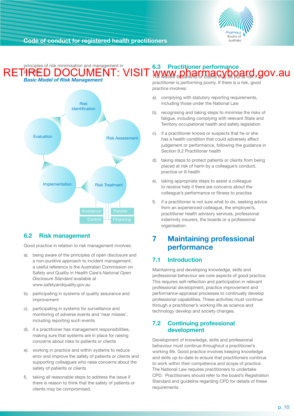

#### <span id="page-11-0"></span>principles of risk minimisation and management in RETHRED DOCUMENT: *Basic Model of Risk Management* **6.3 Practitioner performance**  RETIRED DOCUMENT: VISIT www.pharmacyboard.gov.au



## **6.2 Risk management**

Good practice in relation to risk management involves:

- a). being aware of the principles of open disclosure and a non-punitive approach to incident management; a useful reference is the Australian Commission on Safety and Quality in Health Care's *National Open Disclosure Standard* available at www.safetyandquality.gov.au
- b). participating in systems of quality assurance and improvement
- c). participating in systems for surveillance and monitoring of adverse events and 'near misses', including reporting such events
- d). if a practitioner has management responsibilities, making sure that systems are in place for raising concerns about risks to patients or clients
- e). working in practice and within systems to reduce error and improve the safety of patients or clients and supporting colleagues who raise concerns about the safety of patients or clients
- f). taking all reasonable steps to address the issue if there is reason to think that the safety of patients or clients may be compromised.

practitioner is performing poorly. If there is a risk, good practice involves:

- a). complying with statutory reporting requirements, including those under the National Law
- b). recognising and taking steps to minimise the risks of fatigue, including complying with relevant State and Territory occupational health and safety legislation
- c). If a practitioner knows or suspects that he or she has a health condition that could adversely affect judgement or performance, following the guidance in Section 9.2 Practitioner health
- d). taking steps to protect patients or clients from being placed at risk of harm by a colleague's conduct, practice or ill health
- e). taking appropriate steps to assist a colleague to receive help if there are concerns about the colleague's performance or fitness to practise
- f). if a practitioner is not sure what to do, seeking advice from an experienced colleague, the employer/s, practitioner health advisory services, professional indemnity insurers, the boards or a professional organisation.

# **7 Maintaining professional performance**

## **7.1 Introduction**

Maintaining and developing knowledge, skills and professional behaviour are core aspects of good practice. This requires self-reflection and participation in relevant professional development, practice improvement and performance-appraisal processes to continually develop professional capabilities. These activities must continue through a practitioner's working life as science and technology develop and society changes.

#### **7.2 Continuing professional development**

Development of knowledge, skills and professional behaviour must continue throughout a practitioner's working life. Good practice involves keeping knowledge and skills up-to-date to ensure that practitioners continue to work within their competence and scope of practice. The National Law requires practitioners to undertake CPD. Practitioners should refer to the board's Registration Standard and guideline regarding CPD for details of these requirements.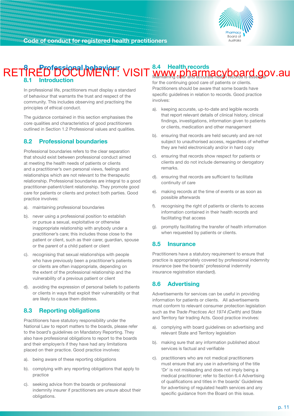

#### <span id="page-12-0"></span>**8 Professional behaviour 8.1 Introduction 8.4 Health records** RETIRED DOCUMENT: VISIT www.pharmacyboard.gov.au

In professional life, practitioners must display a standard of behaviour that warrants the trust and respect of the community. This includes observing and practising the principles of ethical conduct.

The guidance contained in this section emphasises the core qualities and characteristics of good practitioners outlined in Section 1.2 Professional values and qualities.

### **8.2 Professional boundaries**

Professional boundaries refers to the clear separation that should exist between professional conduct aimed at meeting the health needs of patients or clients and a practitioner's own personal views, feelings and relationships which are not relevant to the therapeutic relationship. Professional boundaries are integral to a good practitioner-patient/client relationship. They promote good care for patients or clients and protect both parties. Good practice involves:

- a). maintaining professional boundaries
- b). never using a professional position to establish or pursue a sexual, exploitative or otherwise inappropriate relationship with anybody under a practitioner's care; this includes those close to the patient or client, such as their carer, guardian, spouse or the parent of a child patient or client
- c). recognising that sexual relationships with people who have previously been a practitioner's patients or clients are often inappropriate, depending on the extent of the professional relationship and the vulnerability of a previous patient or client
- d). avoiding the expression of personal beliefs to patients or clients in ways that exploit their vulnerability or that are likely to cause them distress.

## **8.3 Reporting obligations**

Practitioners have statutory responsibility under the National Law to report matters to the boards, please refer to the board's guidelines on Mandatory Reporting. They also have professional obligations to report to the boards and their employer/s if they have had any limitations placed on their practice. Good practice involves:

- a). being aware of these reporting obligations
- b). complying with any reporting obligations that apply to practice
- c). seeking advice from the boards or professional indemnity insurer if practitioners are unsure about their obligations.

for the continuing good care of patients or clients. Practitioners should be aware that some boards have specific guidelines in relation to records. Good practice involves:

- a). keeping accurate, up-to-date and legible records that report relevant details of clinical history, clinical findings, investigations, information given to patients or clients, medication and other management
- b). ensuring that records are held securely and are not subject to unauthorised access, regardless of whether they are held electronically and/or in hard copy
- c). ensuring that records show respect for patients or clients and do not include demeaning or derogatory remarks.
- d). ensuring that records are sufficient to facilitate continuity of care
- e). making records at the time of events or as soon as possible afterwards
- f). recognising the right of patients or clients to access information contained in their health records and facilitating that access
- g). promptly facilitating the transfer of health information when requested by patients or clients.

#### **8.5 Insurance**

Practitioners have a statutory requirement to ensure that practice is appropriately covered by professional indemnity insurance (see the boards' professional indemnity insurance registration standard).

## **8.6 Advertising**

Advertisements for services can be useful in providing information for patients or clients. All advertisements must conform to relevant consumer protection legislation such as the *Trade Practices Act 1974 (Cwlth)* and State and Territory fair trading Acts. Good practice involves:

- a). complying with board guidelines on advertising and relevant State and Territory legislation
- b). making sure that any information published about services is factual and verifiable
- c). practitioners who are not medical practitioners must ensure that any use in advertising of the title 'Dr' is not misleading and does not imply being a medical practitioner; refer to Section 6.4 Advertising of qualifications and titles in the boards' Guidelines for advertising of regulated health services and any specific quidance from the Board on this issue.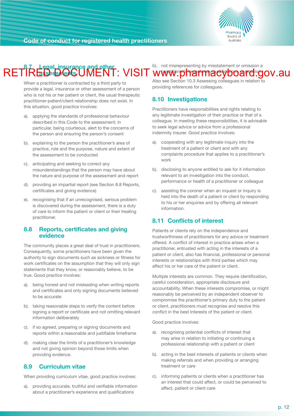

#### **8.7 Legal, insurance and other assessiels** b). not misrepresenting by misstatement or omission a RETIRED DOCUMENT: VISIT www.pharmacyboard.gov.au

When a practitioner is contracted by a third party to provide a legal, insurance or other assessment of a person who is not his or her patient or client, the usual therapeutic practitioner-patient/client relationship does not exist. In this situation, good practice involves:

- a). applying the standards of professional behaviour described in this Code to the assessment; in particular, being courteous, alert to the concerns of the person and ensuring the person's consent
- b). explaining to the person the practitioner's area of practice, role and the purpose, nature and extent of the assessment to be conducted
- c). anticipating and seeking to correct any misunderstandings that the person may have about the nature and purpose of the assessment and report
- d). providing an impartial report (see Section 8.8 Reports, certificates and giving evidence)
- e). recognising that if an unrecognised, serious problem is discovered during the assessment, there is a duty of care to inform the patient or client or their treating practitioner.

#### **8.8 Reports, certificates and giving evidence**

The community places a great deal of trust in practitioners. Consequently, some practitioners have been given the authority to sign documents such as sickness or fitness for work certificates on the assumption that they will only sign statements that they know, or reasonably believe, to be true. Good practice involves:

- a). being honest and not misleading when writing reports and certificates and only signing documents believed to be accurate
- b). taking reasonable steps to verify the content before signing a report or certificate and not omitting relevant information deliberately
- c). if so agreed, preparing or signing documents and reports within a reasonable and justifiable timeframe
- d). making clear the limits of a practitioner's knowledge and not giving opinion beyond those limits when providing evidence.

#### **8.9 Curriculum vitae**

When providing curriculum vitae, good practice involves:

a). providing accurate, truthful and verifiable information about a practitioner's experience and qualifications

Also see Section 10.3 Assessing colleagues in relation to providing references for colleagues.

#### **8.10 Investigations**

Practitioners have responsibilities and rights relating to any legitimate investigation of their practice or that of a colleague. In meeting these responsibilities, it is advisable to seek legal advice or advice from a professional indemnity insurer. Good practice involves:

- a). cooperating with any legitimate inquiry into the treatment of a patient or client and with any complaints procedure that applies to a practitioner's work
- b). disclosing to anyone entitled to ask for it information relevant to an investigation into the conduct, performance or health of a practitioner or colleague
- c). assisting the coroner when an inquest or inquiry is held into the death of a patient or client by responding to his or her enquiries and by offering all relevant information.

#### **8.11 Conflicts of interest**

Patients or clients rely on the independence and trustworthiness of practitioners for any advice or treatment offered. A conflict of interest in practice arises when a practitioner, entrusted with acting in the interests of a patient or client, also has financial, professional or personal interests or relationships with third parties which may affect his or her care of the patient or client.

Multiple interests are common. They require identification, careful consideration, appropriate disclosure and accountability. When these interests compromise, or might reasonably be perceived by an independent observer to compromise the practitioner's primary duty to the patient or client, practitioners must recognise and resolve this conflict in the best interests of the patient or client.

Good practice involves:

- a). recognising potential conflicts of interest that may arise in relation to initiating or continuing a professional relationship with a patient or client
- b). acting in the best interests of patients or clients when making referrals and when providing or arranging treatment or care
- c). informing patients or clients when a practitioner has an interest that could affect, or could be perceived to affect, patient or client care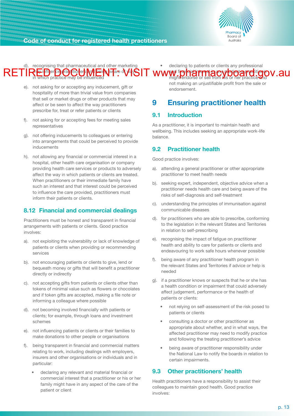

<span id="page-14-0"></span>d). recognising that pharmaceutical and other marketing RETIRE FIRE CO CO CO CO THE REPART OF A VISIT WWW in the process or sell from PIS or her practice way V. AU which practice may be influenced declaring to patients or clients any professional and financial interest in any product a practitioner might endorse or sell from *h*is or her practice and

- e). not asking for or accepting any inducement, gift or hospitality of more than trivial value from companies that sell or market drugs or other products that may affect or be seen to affect the way practitioners prescribe for, treat or refer patients or clients
- f). not asking for or accepting fees for meeting sales representatives
- g). not offering inducements to colleagues or entering into arrangements that could be perceived to provide inducements
- h). not allowing any financial or commercial interest in a hospital, other health care organisation or company providing health care services or products to adversely affect the way in which patients or clients are treated. When practitioners or their immediate family have such an interest and that interest could be perceived to influence the care provided, practitioners must inform their patients or clients.

### **8.12 Financial and commercial dealings**

Practitioners must be honest and transparent in financial arrangements with patients or clients. Good practice involves:

- a). not exploiting the vulnerability or lack of knowledge of patients or clients when providing or recommending services
- b). not encouraging patients or clients to give, lend or bequeath money or gifts that will benefit a practitioner directly or indirectly
- c). not accepting gifts from patients or clients other than tokens of minimal value such as flowers or chocolates and if token gifts are accepted, making a file note or informing a colleague where possible
- d). not becoming involved financially with patients or clients; for example, through loans and investment schemes
- e). not influencing patients or clients or their families to make donations to other people or organisations
- f). being transparent in financial and commercial matters relating to work, including dealings with employers, insurers and other organisations or individuals and in particular:
	- declaring any relevant and material financial or commercial interest that a practitioner or his or her family might have in any aspect of the care of the patient or client

not making an unjustifiable profit from the sale or endorsement.

## **9 Ensuring practitioner health**

#### **9.1 Introduction**

As a practitioner, it is important to maintain health and wellbeing. This includes seeking an appropriate work-life balance.

#### **9.2 Practitioner health**

Good practice involves:

- a). attending a general practitioner or other appropriate practitioner to meet health needs
- b). seeking expert, independent, objective advice when a practitioner needs health care and being aware of the risks of self-diagnosis and self-treatment
- c). understanding the principles of immunisation against communicable diseases
- d). for practitioners who are able to prescribe, conforming to the legislation in the relevant States and Territories in relation to self-prescribing
- e). recognising the impact of fatigue on practitioner health and ability to care for patients or clients and endeavouring to work safe hours whenever possible
- f). being aware of any practitioner health program in the relevant States and Territories if advice or help is needed
- g). if a practitioner knows or suspects that he or she has a health condition or impairment that could adversely affect judgement, performance or the health of patients or clients:
	- not relying on self-assessment of the risk posed to patients or clients
	- consulting a doctor or other practitioner as appropriate about whether, and in what ways, the affected practitioner may need to modify practice and following the treating practitioner's advice
	- being aware of practitioner responsibility under the National Law to notify the boards in relation to certain impairments.

## **9.3 Other practitioners' health**

Health practitioners have a responsibility to assist their colleagues to maintain good health. Good practice involves: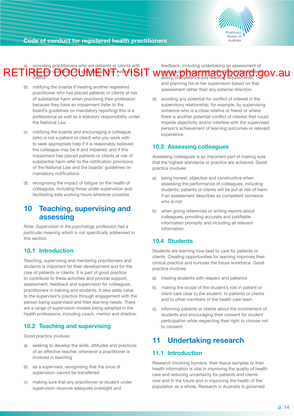

<span id="page-15-0"></span>providing practitioners who are patients or clients with the same quality of care provided to other patients or RETIRED **DOCUMENT** pathol SIT www.pharmacyboard.gov.au feedback, including undertaking an assessment of each student student superior student superior that student superior student student student student student s ability, competence and learning requirements;

- b). notifying the boards if treating another registered practitioner who has placed patients or clients at risk of substantial harm when practising their profession because they have an impairment (refer to the board's guidelines on mandatory reporting) this is a professional as well as a statutory responsibility under the National Law
- c). notifying the boards and encouraging a colleague (who is not a patient or client) who you work with to seek appropriate help if it is reasonably believed the colleague may be ill and impaired; and if this impairment has placed patients or clients at risk of substantial harm refer to the notification provisions of the National Law and the boards' guidelines on mandatory notifications
- d). recognising the impact of fatigue on the health of colleagues, including those under supervision and facilitating safe working hours wherever possible.

## **10 Teaching, supervising and assessing**

*Note: Supervision in the psychology profession has a particular meaning which is not specifically addressed in this section.* 

#### **10.1 Introduction**

Teaching, supervising and mentoring practitioners and students is important for their development and for the care of patients or clients. It is part of good practice to contribute to these activities and provide support, assessment, feedback and supervision for colleagues, practitioners in training and students. It also adds value to the supervisor's practice through engagement with the person being supervised and their learning needs. There are a range of supervision models being adopted in the health professions, including coach, mentor and shadow.

#### **10.2 Teaching and supervising**

Good practice involves:

- a). seeking to develop the skills, attitudes and practices of an effective teacher, whenever a practitioner is involved in teaching
- b). as a supervisor, recognising that the onus of supervision cannot be transferred
- c). making sure that any practitioner or student under supervision receives adequate oversight and

and planning his or her supervision based on that assessment rather than any external direction

d). avoiding any potential for conflict of interest in the supervisory relationship; for example, by supervising someone who is a close relative or friend or where there is another potential conflict of interest that could impede objectivity and/or interfere with the supervised person's achievement of learning outcomes or relevant experience.

#### **10.3 Assessing colleagues**

Assessing colleagues is an important part of making sure that the highest standards or practice are achieved. Good practice involves:

- a). being honest, objective and constructive when assessing the performance of colleagues, including students; patients or clients will be put at risk of harm if an assessment describes as competent someone who is not
- b). when giving references or writing reports about colleagues, providing accurate and justifiable information promptly and including all relevant information.

#### **10.4 Students**

Students are learning how best to care for patients or clients. Creating opportunities for learning improves their clinical practice and nurtures the future workforce. Good practice involves:

- a). treating students with respect and patience
- b). making the scope of the student's role in patient or client care clear to the student, to patients or clients and to other members of the health care team
- c). informing patients or clients about the involvement of students and encouraging their consent for student participation while respecting their right to choose not to consent.

# **11 Undertaking research**

#### **11.1 Introduction**

Research involving humans, their tissue samples or their health information is vital in improving the quality of health care and reducing uncertainty for patients and clients now and in the future and in improving the health of the population as a whole. Research in Australia is governed